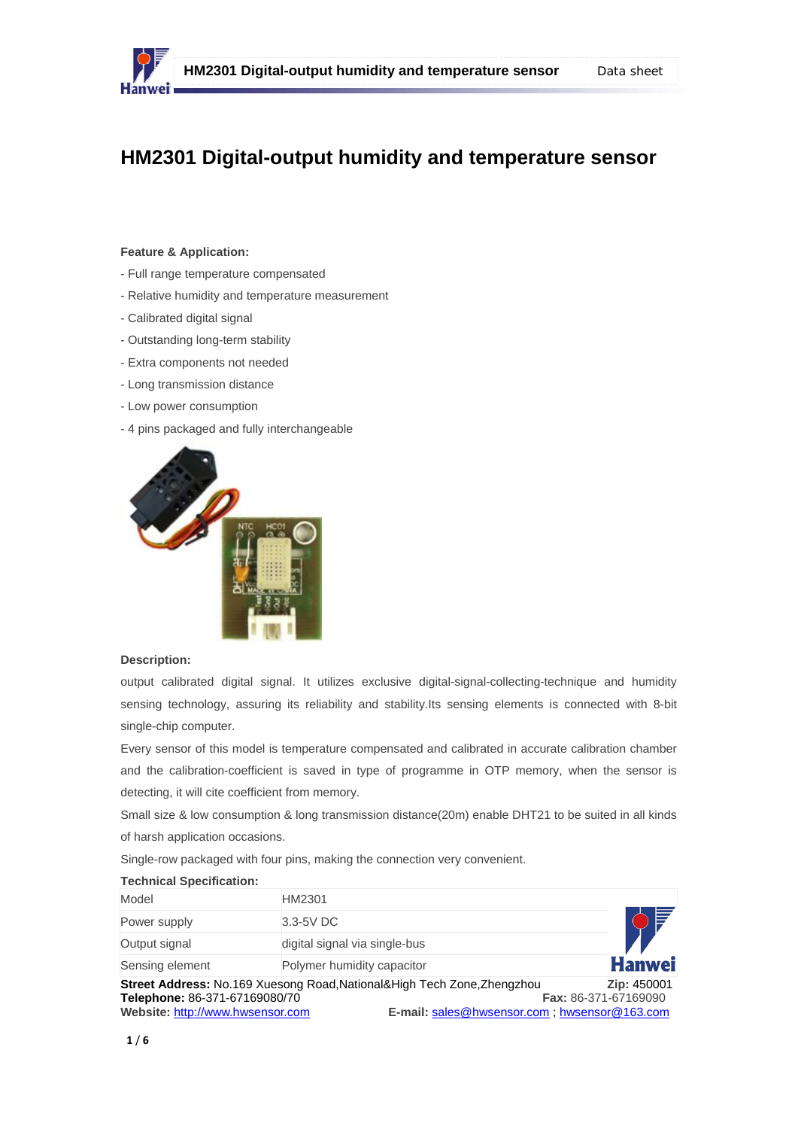

## **HM2301 Digital-output humidity and temperature sensor**

#### **Feature & Application:**

- Full range temperature compensated
- Relative humidity and temperature measurement
- Calibrated digital signal
- Outstanding long-term stability
- Extra components not needed
- Long transmission distance
- Low power consumption
- 4 pins packaged and fully interchangeable



#### **Description:**

output calibrated digital signal. It utilizes exclusive digital-signal-collecting-technique and humidity sensing technology, assuring its reliability and stability.Its sensing elements is connected with 8-bit single-chip computer.

Every sensor of this model is temperature compensated and calibrated in accurate calibration chamber and the calibration-coefficient is saved in type of programme in OTP memory, when the sensor is detecting, it will cite coefficient from memory.

Small size & low consumption & long transmission distance(20m) enable DHT21 to be suited in all kinds of harsh application occasions.

Single-row packaged with four pins, making the connection very convenient.

| <b>Technical Specification:</b>                                   |                                                                                                                         |                                            |
|-------------------------------------------------------------------|-------------------------------------------------------------------------------------------------------------------------|--------------------------------------------|
| Model                                                             | HM2301                                                                                                                  |                                            |
| Power supply                                                      | 3.3-5V DC                                                                                                               |                                            |
| Output signal                                                     | digital signal via single-bus                                                                                           |                                            |
| Sensing element                                                   | Polymer humidity capacitor                                                                                              | <b>Hanwei</b>                              |
| Telephone: 86-371-67169080/70<br>Website: http://www.hwsensor.com | Street Address: No.169 Xuesong Road, National&High Tech Zone, Zhengzhou<br>E-mail: sales@hwsensor.com; hwsensor@163.com | Zip: 450001<br><b>Fax: 86-371-67169090</b> |

#### **1** / **6**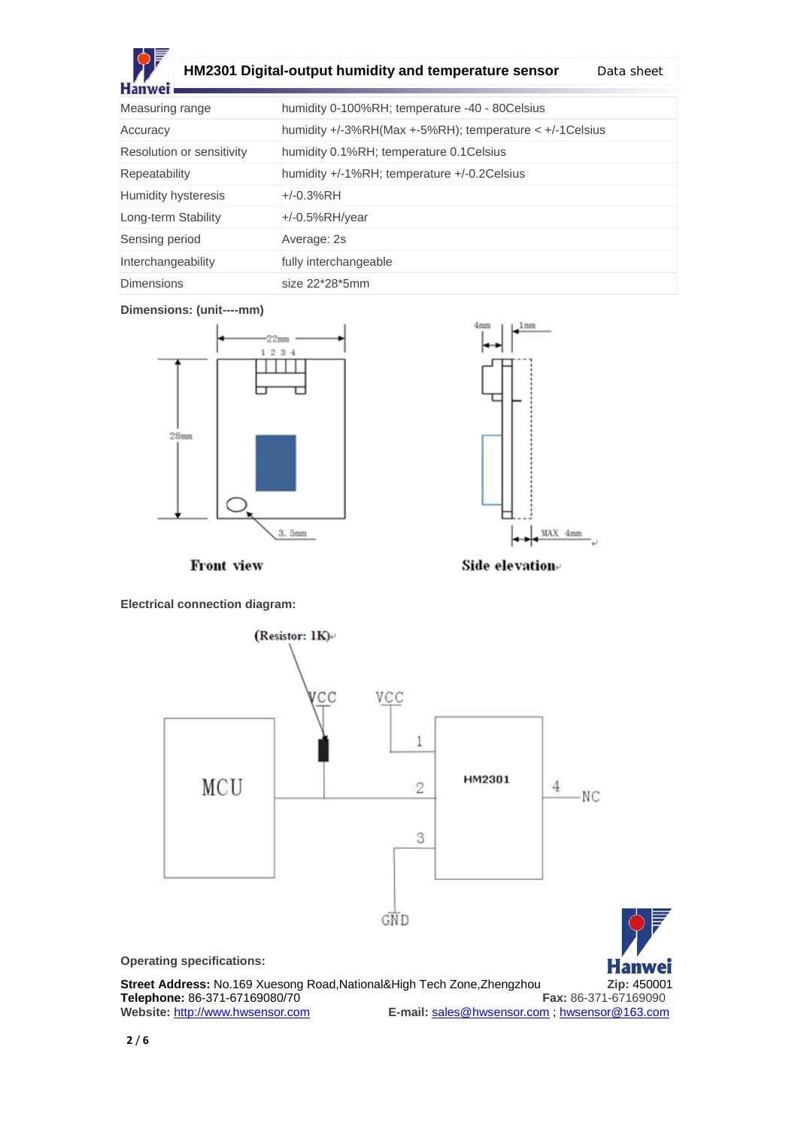

# **HM2301 Digital-output humidity and temperature sensor**  Data sheet

| Measuring range           | humidity 0-100%RH; temperature -40 - 80Celsius                 |  |  |
|---------------------------|----------------------------------------------------------------|--|--|
| Accuracy                  | humidity $+/-3\%RH(Max +-5\%RH);$ temperature $< +/-1$ Celsius |  |  |
| Resolution or sensitivity | humidity 0.1%RH; temperature 0.1 Celsius                       |  |  |
| Repeatability             | humidity +/-1%RH; temperature +/-0.2Celsius                    |  |  |
| Humidity hysteresis       | $+/-0.3%$ RH                                                   |  |  |
| Long-term Stability       | $+/-0.5%RH/year$                                               |  |  |
| Sensing period            | Average: 2s                                                    |  |  |
| Interchangeability        | fully interchangeable                                          |  |  |
| <b>Dimensions</b>         | size 22*28*5mm                                                 |  |  |

## **Dimensions: (unit----mm)**





Front view



**Electrical connection diagram:**

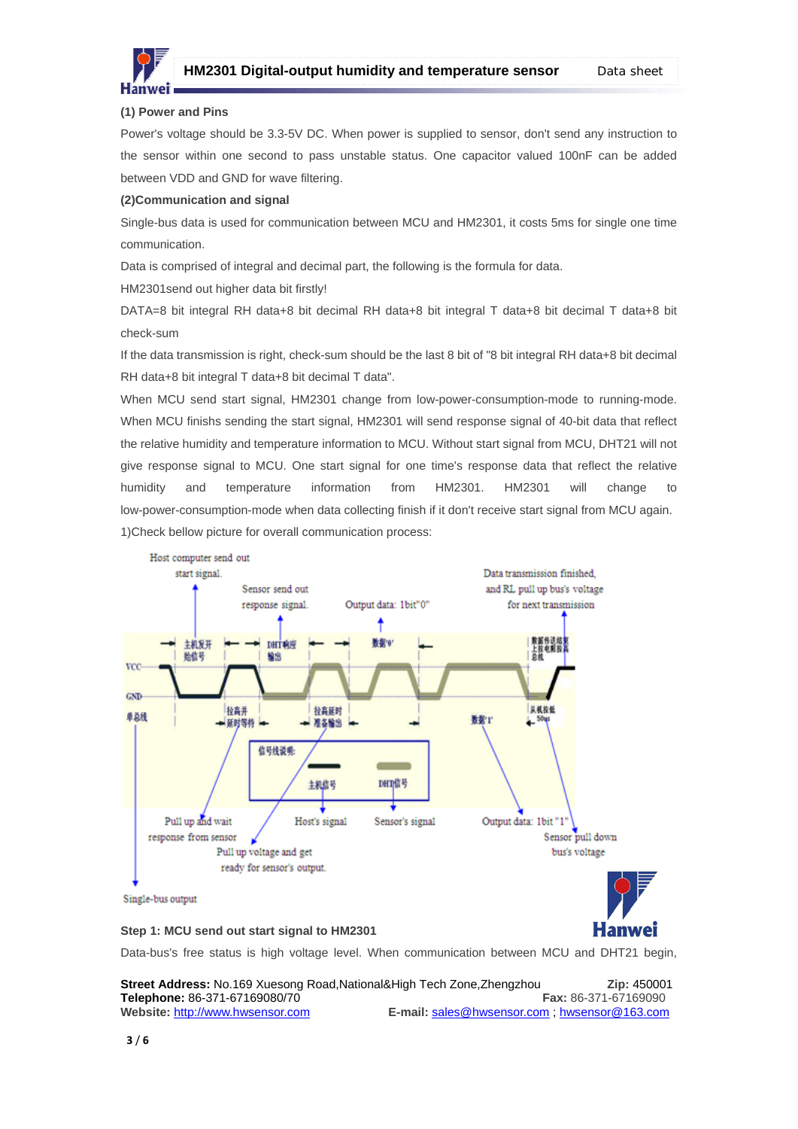

**Hanwei** 

## **(1) Power and Pins**

Power's voltage should be 3.3-5V DC. When power is supplied to sensor, don't send any instruction to the sensor within one second to pass unstable status. One capacitor valued 100nF can be added between VDD and GND for wave filtering.

#### **(2)Communication and signal**

Single-bus data is used for communication between MCU and HM2301, it costs 5ms for single one time communication.

Data is comprised of integral and decimal part, the following is the formula for data.

HM2301send out higher data bit firstly!

DATA=8 bit integral RH data+8 bit decimal RH data+8 bit integral T data+8 bit decimal T data+8 bit check-sum

If the data transmission is right, check-sum should be the last 8 bit of "8 bit integral RH data+8 bit decimal RH data+8 bit integral T data+8 bit decimal T data".

When MCU send start signal, HM2301 change from low-power-consumption-mode to running-mode. When MCU finishs sending the start signal, HM2301 will send response signal of 40-bit data that reflect the relative humidity and temperature information to MCU. Without start signal from MCU, DHT21 will not give response signal to MCU. One start signal for one time's response data that reflect the relative humidity and temperature information from HM2301. HM2301 will change to low-power-consumption-mode when data collecting finish if it don't receive start signal from MCU again. 1)Check bellow picture for overall communication process:



#### **Step 1: MCU send out start signal to HM2301**

Data-bus's free status is high voltage level. When communication between MCU and DHT21 begin,

**Street Address:** No.169 Xuesong Road,National&High Tech Zone,Zhengzhou **Zip:** 450001 **Telephone:** 86-371-67169080/70 **Fax:** 86-371-67169090 **Website:** http://www.hwsensor.com **E-mail:** sales@hwsensor.com ; hwsensor@163.com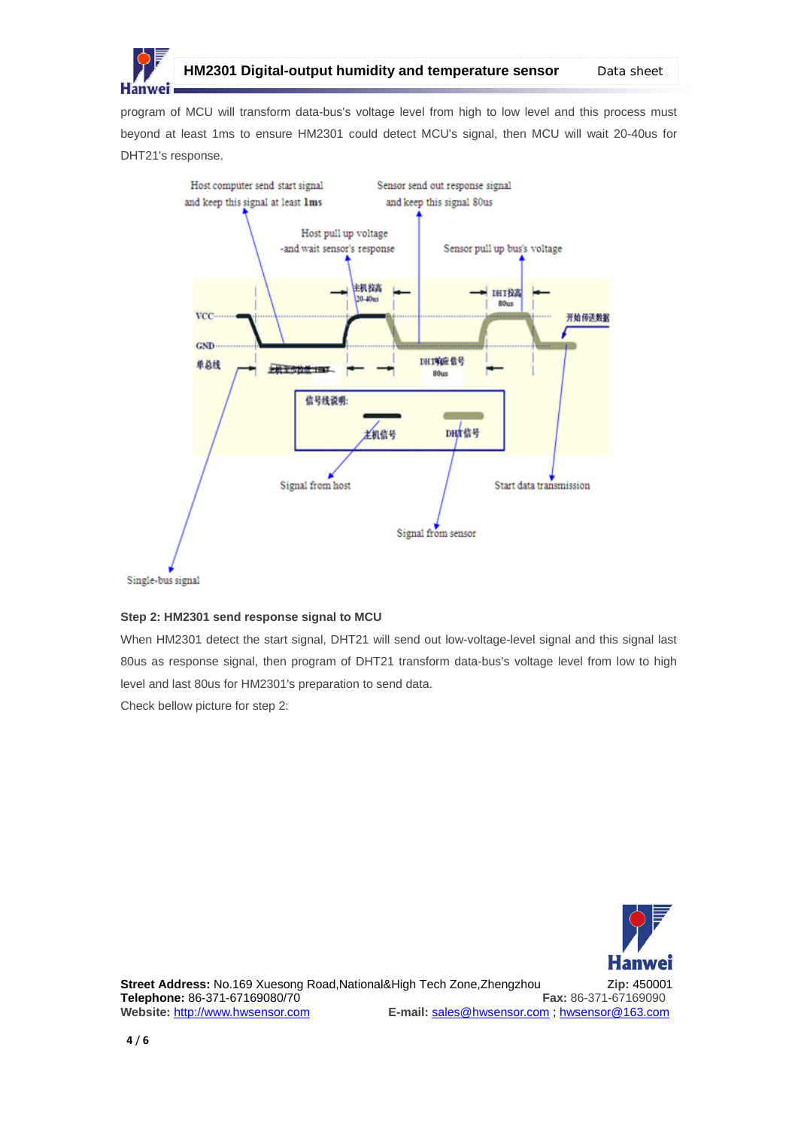

program of MCU will transform data-bus's voltage level from high to low level and this process must beyond at least 1ms to ensure HM2301 could detect MCU's signal, then MCU will wait 20-40us for DHT21's response.



Single-bus signal

### **Step 2: HM2301 send response signal to MCU**

When HM2301 detect the start signal, DHT21 will send out low-voltage-level signal and this signal last 80us as response signal, then program of DHT21 transform data-bus's voltage level from low to high level and last 80us for HM2301's preparation to send data.

Check bellow picture for step 2:

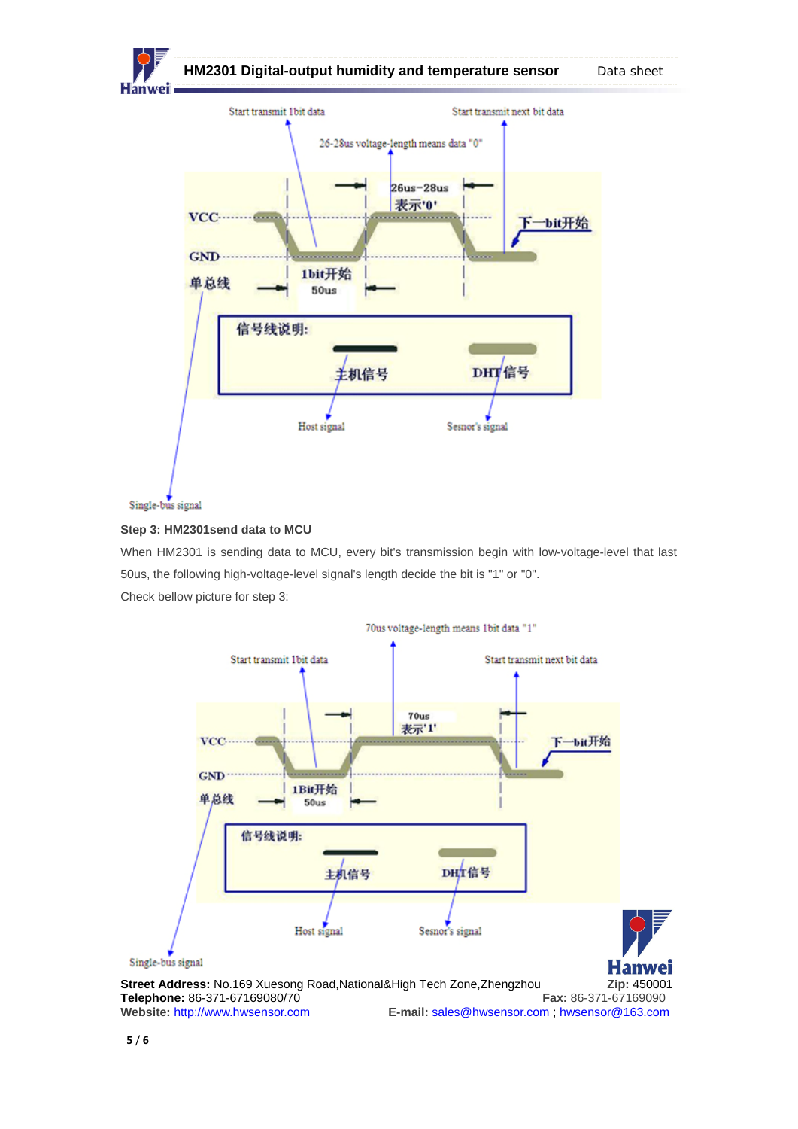

## **Step 3: HM2301send data to MCU**

When HM2301 is sending data to MCU, every bit's transmission begin with low-voltage-level that last 50us, the following high-voltage-level signal's length decide the bit is "1" or "0". Check bellow picture for step 3: